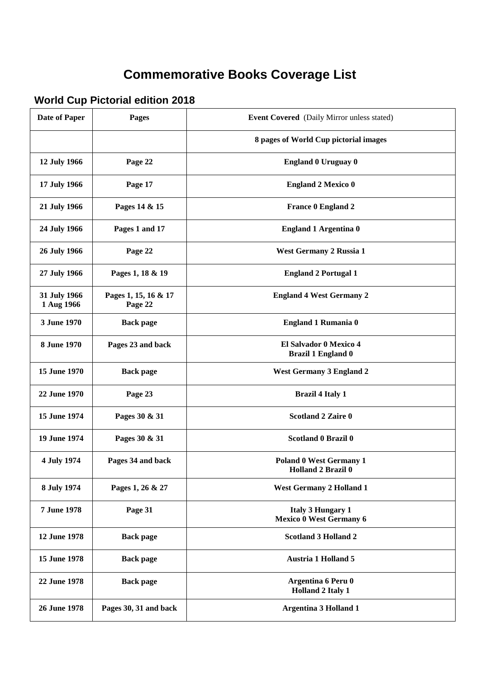## **Commemorative Books Coverage List**

## **World Cup Pictorial edition 2018**

| <b>Date of Paper</b>       | <b>Pages</b>                    | <b>Event Covered</b> (Daily Mirror unless stated)          |
|----------------------------|---------------------------------|------------------------------------------------------------|
|                            |                                 | 8 pages of World Cup pictorial images                      |
| 12 July 1966               | Page 22                         | <b>England 0 Uruguay 0</b>                                 |
| 17 July 1966               | Page 17                         | <b>England 2 Mexico 0</b>                                  |
| 21 July 1966               | Pages 14 & 15                   | <b>France 0 England 2</b>                                  |
| 24 July 1966               | Pages 1 and 17                  | <b>England 1 Argentina 0</b>                               |
| 26 July 1966               | Page 22                         | West Germany 2 Russia 1                                    |
| 27 July 1966               | Pages 1, 18 & 19                | <b>England 2 Portugal 1</b>                                |
| 31 July 1966<br>1 Aug 1966 | Pages 1, 15, 16 & 17<br>Page 22 | <b>England 4 West Germany 2</b>                            |
| 3 June 1970                | <b>Back page</b>                | <b>England 1 Rumania 0</b>                                 |
| 8 June 1970                | Pages 23 and back               | El Salvador 0 Mexico 4<br><b>Brazil 1 England 0</b>        |
| 15 June 1970               | <b>Back page</b>                | <b>West Germany 3 England 2</b>                            |
| 22 June 1970               | Page 23                         | <b>Brazil 4 Italy 1</b>                                    |
| 15 June 1974               | Pages 30 & 31                   | <b>Scotland 2 Zaire 0</b>                                  |
| 19 June 1974               | Pages 30 & 31                   | <b>Scotland 0 Brazil 0</b>                                 |
| 4 July 1974                | Pages 34 and back               | <b>Poland 0 West Germany 1</b><br>Holland 2 Brazil 0       |
| 8 July 1974                | Pages 1, 26 & 27                | <b>West Germany 2 Holland 1</b>                            |
| 7 June 1978                | Page 31                         | <b>Italy 3 Hungary 1</b><br><b>Mexico 0 West Germany 6</b> |
| 12 June 1978               | <b>Back page</b>                | <b>Scotland 3 Holland 2</b>                                |
| 15 June 1978               | <b>Back page</b>                | <b>Austria 1 Holland 5</b>                                 |
| 22 June 1978               | <b>Back page</b>                | Argentina 6 Peru 0<br><b>Holland 2 Italy 1</b>             |
| 26 June 1978               | Pages 30, 31 and back           | <b>Argentina 3 Holland 1</b>                               |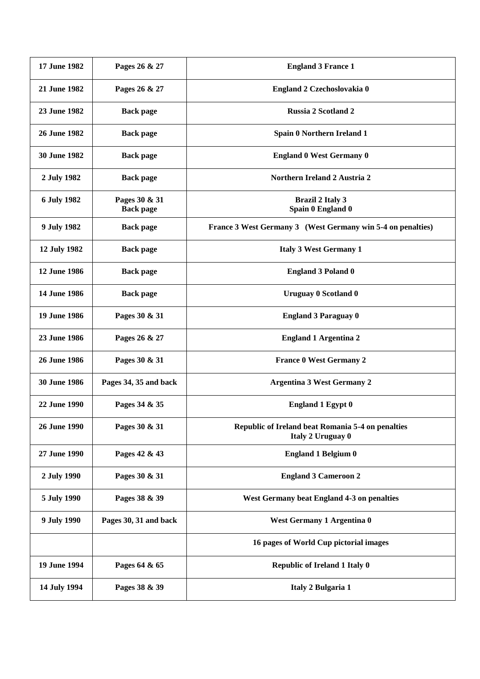| 17 June 1982        | Pages 26 & 27                     | <b>England 3 France 1</b>                                              |
|---------------------|-----------------------------------|------------------------------------------------------------------------|
| 21 June 1982        | Pages 26 & 27                     | England 2 Czechoslovakia 0                                             |
| 23 June 1982        | <b>Back page</b>                  | <b>Russia 2 Scotland 2</b>                                             |
| 26 June 1982        | <b>Back page</b>                  | Spain 0 Northern Ireland 1                                             |
| <b>30 June 1982</b> | <b>Back page</b>                  | <b>England 0 West Germany 0</b>                                        |
| 2 July 1982         | <b>Back page</b>                  | Northern Ireland 2 Austria 2                                           |
| 6 July 1982         | Pages 30 & 31<br><b>Back page</b> | <b>Brazil 2 Italy 3</b><br>Spain 0 England 0                           |
| 9 July 1982         | <b>Back page</b>                  | France 3 West Germany 3 (West Germany win 5-4 on penalties)            |
| 12 July 1982        | <b>Back page</b>                  | <b>Italy 3 West Germany 1</b>                                          |
| 12 June 1986        | <b>Back page</b>                  | <b>England 3 Poland 0</b>                                              |
| 14 June 1986        | <b>Back page</b>                  | <b>Uruguay 0 Scotland 0</b>                                            |
| 19 June 1986        | Pages 30 & 31                     | <b>England 3 Paraguay 0</b>                                            |
| 23 June 1986        | Pages 26 & 27                     | <b>England 1 Argentina 2</b>                                           |
| 26 June 1986        | Pages 30 & 31                     | <b>France 0 West Germany 2</b>                                         |
| 30 June 1986        | Pages 34, 35 and back             | <b>Argentina 3 West Germany 2</b>                                      |
| 22 June 1990        | Pages 34 & 35                     | <b>England 1 Egypt 0</b>                                               |
| 26 June 1990        | Pages 30 & 31                     | Republic of Ireland beat Romania 5-4 on penalties<br>Italy 2 Uruguay 0 |
| 27 June 1990        | Pages 42 & 43                     | <b>England 1 Belgium 0</b>                                             |
| 2 July 1990         | Pages 30 & 31                     | <b>England 3 Cameroon 2</b>                                            |
| 5 July 1990         | Pages 38 & 39                     | West Germany beat England 4-3 on penalties                             |
| 9 July 1990         | Pages 30, 31 and back             | West Germany 1 Argentina 0                                             |
|                     |                                   | 16 pages of World Cup pictorial images                                 |
| 19 June 1994        | Pages 64 & 65                     | <b>Republic of Ireland 1 Italy 0</b>                                   |
| 14 July 1994        | Pages 38 & 39                     | Italy 2 Bulgaria 1                                                     |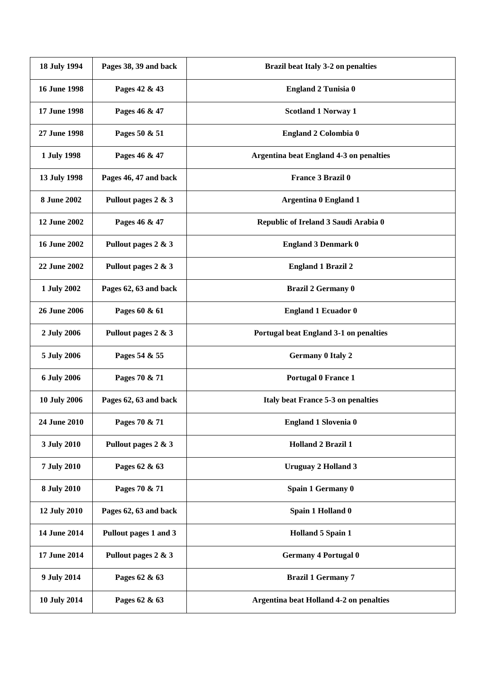| 18 July 1994        | Pages 38, 39 and back | Brazil beat Italy 3-2 on penalties             |
|---------------------|-----------------------|------------------------------------------------|
| <b>16 June 1998</b> | Pages 42 & 43         | <b>England 2 Tunisia 0</b>                     |
| 17 June 1998        | Pages 46 & 47         | <b>Scotland 1 Norway 1</b>                     |
| 27 June 1998        | Pages 50 & 51         | England 2 Colombia 0                           |
| 1 July 1998         | Pages 46 & 47         | <b>Argentina beat England 4-3 on penalties</b> |
| 13 July 1998        | Pages 46, 47 and back | <b>France 3 Brazil 0</b>                       |
| <b>8 June 2002</b>  | Pullout pages 2 & 3   | <b>Argentina 0 England 1</b>                   |
| 12 June 2002        | Pages 46 & 47         | Republic of Ireland 3 Saudi Arabia 0           |
| <b>16 June 2002</b> | Pullout pages 2 & 3   | <b>England 3 Denmark 0</b>                     |
| 22 June 2002        | Pullout pages 2 & 3   | <b>England 1 Brazil 2</b>                      |
| 1 July 2002         | Pages 62, 63 and back | <b>Brazil 2 Germany 0</b>                      |
| <b>26 June 2006</b> | Pages 60 & 61         | <b>England 1 Ecuador 0</b>                     |
| 2 July 2006         | Pullout pages 2 & 3   | Portugal beat England 3-1 on penalties         |
| 5 July 2006         | Pages 54 & 55         | <b>Germany 0 Italy 2</b>                       |
| 6 July 2006         | Pages 70 & 71         | <b>Portugal 0 France 1</b>                     |
| <b>10 July 2006</b> | Pages 62, 63 and back | Italy beat France 5-3 on penalties             |
| 24 June 2010        | Pages 70 & 71         | <b>England 1 Slovenia 0</b>                    |
| 3 July 2010         | Pullout pages 2 & 3   | <b>Holland 2 Brazil 1</b>                      |
| 7 July 2010         | Pages 62 & 63         | <b>Uruguay 2 Holland 3</b>                     |
| 8 July 2010         | Pages 70 & 71         | Spain 1 Germany 0                              |
| 12 July 2010        | Pages 62, 63 and back | Spain 1 Holland 0                              |
| 14 June 2014        | Pullout pages 1 and 3 | <b>Holland 5 Spain 1</b>                       |
| 17 June 2014        | Pullout pages 2 & 3   | <b>Germany 4 Portugal 0</b>                    |
| 9 July 2014         | Pages 62 & 63         | <b>Brazil 1 Germany 7</b>                      |
| 10 July 2014        | Pages 62 & 63         | <b>Argentina beat Holland 4-2 on penalties</b> |
|                     |                       |                                                |